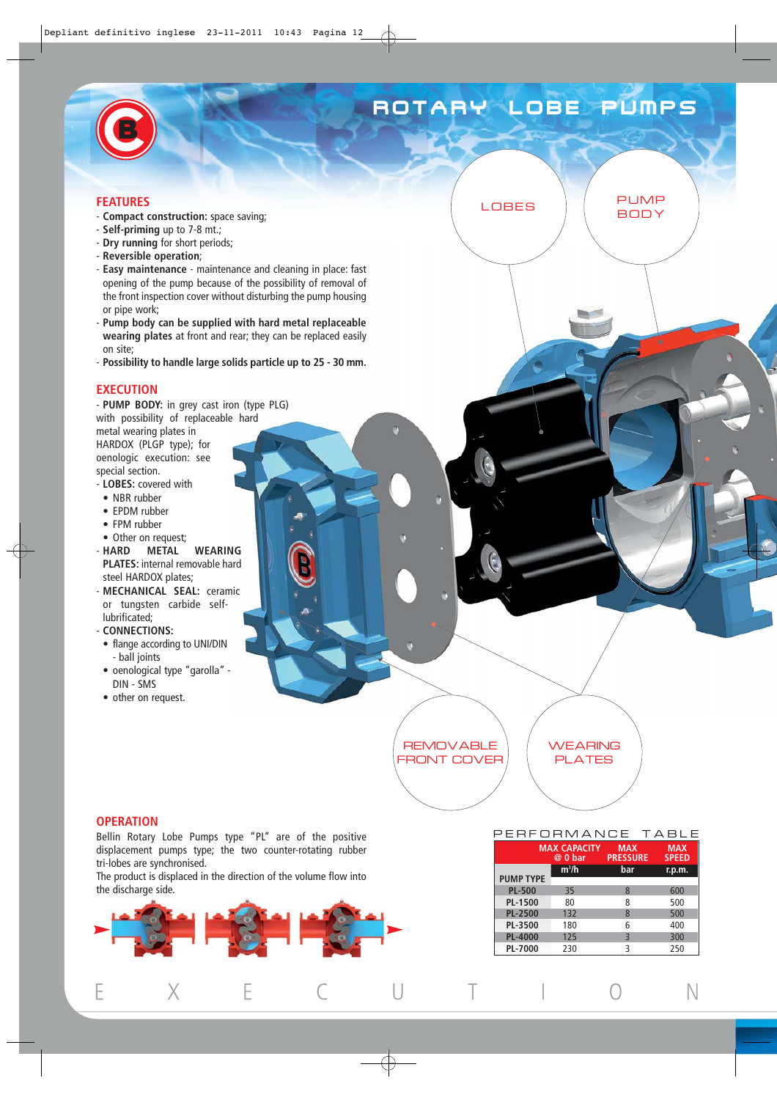# ROTARY LOBE PUMPS

LOBES PUMP

**BODY** 

### **FEATURES**

- **Compact construction:** space saving;
- **Self-priming** up to 7-8 mt.;
- **Dry running** for short periods;
- **Reversible operation**;
- **Easy maintenance** maintenance and cleaning in place: fast opening of the pump because of the possibility of removal of the front inspection cover without disturbing the pump housing or pipe work;
- **Pump body can be supplied with hard metal replaceable wearing plates** at front and rear; they can be replaced easily on site;
- **Possibility to handle large solids particle up to 25 30 mm.**

#### **EXECUTION**

- **PUMP BODY:** in grey cast iron (type PLG) with possibility of replaceable hard metal wearing plates in HARDOX (PLGP type); for oenologic execution: see special section. - **LOBES:** covered with

- NBR rubber
- EPDM rubber
- FPM rubber
- 
- Other on request;<br>- HARD METAL **WEARING PLATES:** internal removable hard steel HARDOX plates;
- **MECHANICAL SEAL:** ceramic or tungsten carbide selflubrificated;
- **CONNECTIONS:**
- flange according to UNI/DIN - ball joints
- oenological type "garolla" DIN - SMS
- other on request.

**REMOVABLE** FRONT COVER **WEARING** PLATES

### **OPERATION**

Bellin Rotary Lobe Pumps type "PL" are of the positive displacement pumps type; the two counter-rotating rubber tri-lobes are synchronised.

The product is displaced in the direction of the volume flow into the discharge side.



### PERFORMANCE TABLE

| $m^3/h$<br>bar<br>r.p.m.<br><b>PUMP TYPE</b><br><b>PL-500</b><br>600<br>35<br>8<br><b>PL-1500</b><br>80<br>500<br>8<br><b>PL-2500</b><br>132<br>500<br>8<br>PL-3500<br>180<br>400<br>6<br>3<br><b>PL-4000</b><br>125<br>300<br>PL-7000<br>ς<br>230 | <b>MAX CAPACITY</b><br>$@0$ bar | <b>MAX</b><br><b>PRESSURE</b> | <b>MAX</b><br><b>SPEED</b> |
|----------------------------------------------------------------------------------------------------------------------------------------------------------------------------------------------------------------------------------------------------|---------------------------------|-------------------------------|----------------------------|
|                                                                                                                                                                                                                                                    |                                 |                               |                            |
|                                                                                                                                                                                                                                                    |                                 |                               |                            |
|                                                                                                                                                                                                                                                    |                                 |                               |                            |
|                                                                                                                                                                                                                                                    |                                 |                               |                            |
|                                                                                                                                                                                                                                                    |                                 |                               |                            |
|                                                                                                                                                                                                                                                    |                                 |                               |                            |
|                                                                                                                                                                                                                                                    |                                 |                               |                            |
|                                                                                                                                                                                                                                                    |                                 |                               | 250                        |

 $\bigcap$ 

N

 $\overline{\phantom{a}}$ 

Τ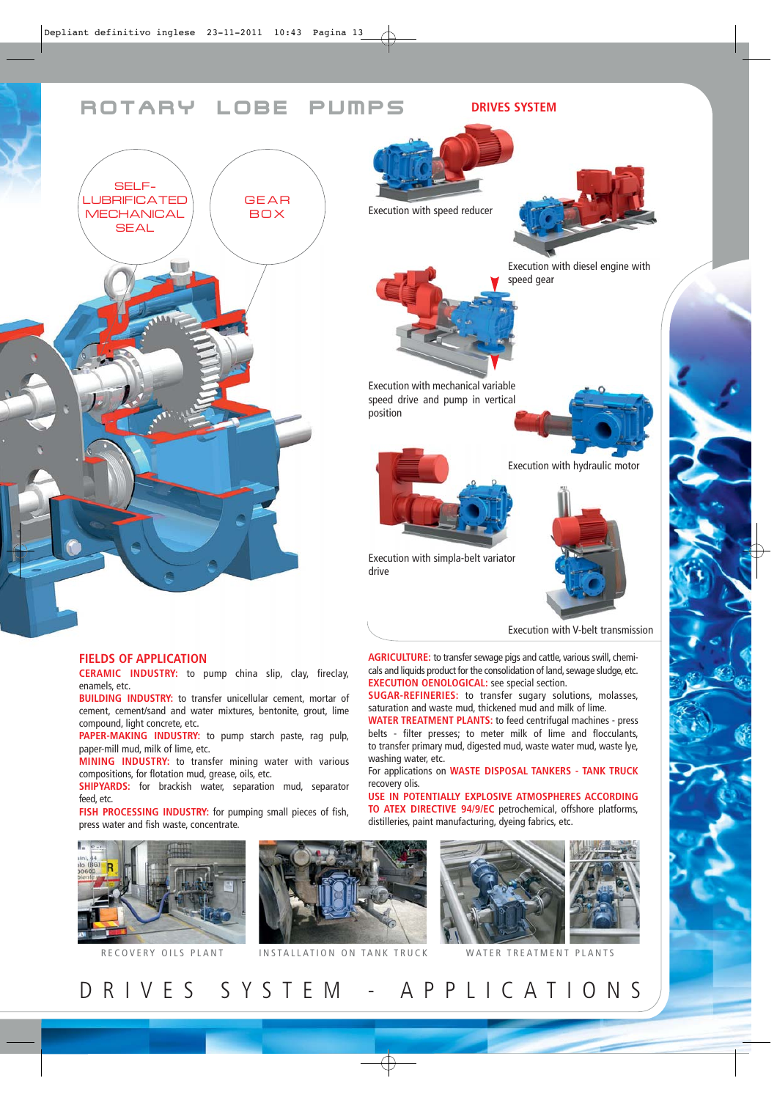## ROTARY LOBE PUMPS



#### **FIELDS OF APPLICATION**

**CERAMIC INDUSTRY:** to pump china slip, clay, fireclay, enamels, etc.

**BUILDING INDUSTRY:** to transfer unicellular cement, mortar of cement, cement/sand and water mixtures, bentonite, grout, lime compound, light concrete, etc.

**PAPER-MAKING INDUSTRY:** to pump starch paste, rag pulp, paper-mill mud, milk of lime, etc.

**MINING INDUSTRY:** to transfer mining water with various compositions, for flotation mud, grease, oils, etc.

**SHIPYARDS:** for brackish water, separation mud, separator feed, etc.

**FISH PROCESSING INDUSTRY:** for pumping small pieces of fish, press water and fish waste, concentrate.



RECOVERY OILS PLANT INSTALLATION ON TANK TRUCK WATER TREATMENT PLANTS

recovery olis. **USE IN POTENTIALLY EXPLOSIVE ATMOSPHERES ACCORDING**

**TO ATEX DIRECTIVE 94/9/EC** petrochemical, offshore platforms, distilleries, paint manufacturing, dyeing fabrics, etc.



Execution with simpla-belt variator drive

Execution with mechanical variable speed drive and pump in vertical

position

Execution with speed reducer

Execution with V-belt transmission

Execution with hydraulic motor

Execution with diesel engine with

speed gear

**DRIVES SYSTEM**

**AGRICULTURE:** to transfer sewage pigs and cattle, various swill, chemi-

cals and liquids product for the consolidation of land, sewage sludge, etc. **EXECUTION OENOLOGICAL:** see special section.

**SUGAR-REFINERIES:** to transfer sugary solutions, molasses, saturation and waste mud, thickened mud and milk of lime. **WATER TREATMENT PLANTS:** to feed centrifugal machines - press belts - filter presses; to meter milk of lime and flocculants,

to transfer primary mud, digested mud, waste water mud, waste lye, washing water, etc. For applications on **WASTE DISPOSAL TANKERS - TANK TRUCK**

DRIVES SYSTEM - APPLICATIONS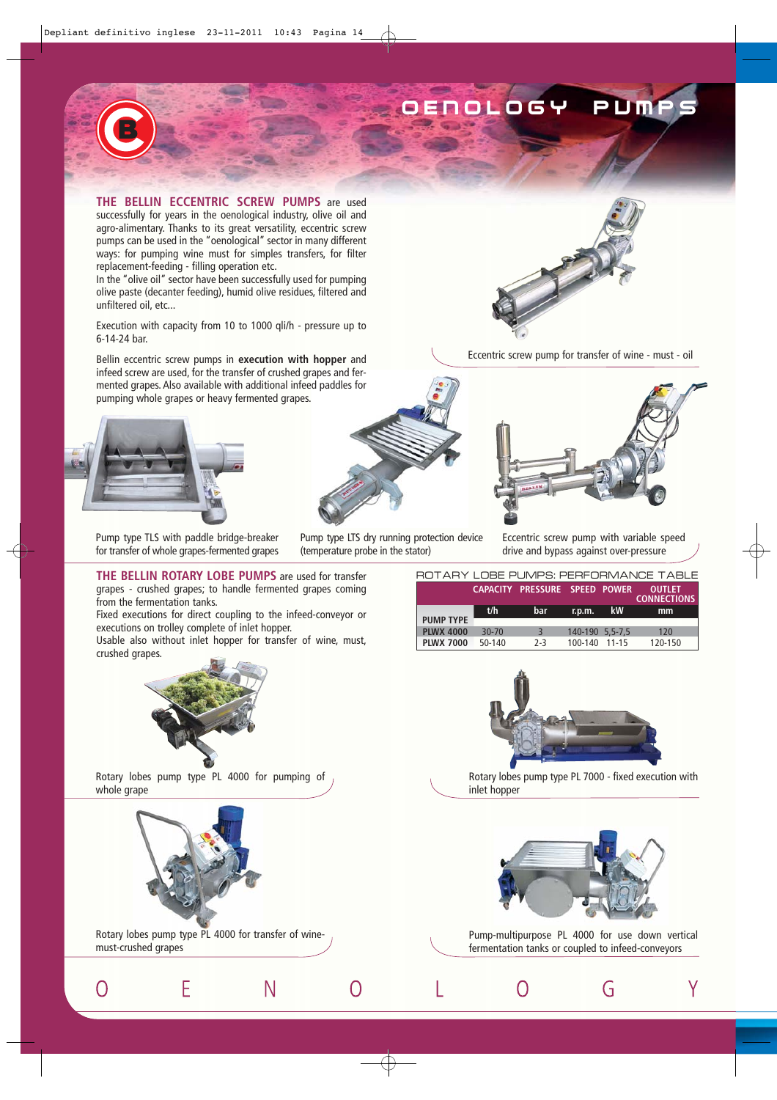## OLOGY PUMP

**THE BELLIN ECCENTRIC SCREW PUMPS** are used successfully for years in the oenological industry, olive oil and agro-alimentary. Thanks to its great versatility, eccentric screw pumps can be used in the "oenological" sector in many different ways: for pumping wine must for simples transfers, for filter replacement-feeding - filling operation etc.

In the "olive oil" sector have been successfully used for pumping olive paste (decanter feeding), humid olive residues, filtered and unfiltered oil, etc...

Execution with capacity from 10 to 1000 qli/h - pressure up to 6-14-24 bar.

Bellin eccentric screw pumps in **execution with hopper** and infeed screw are used, for the transfer of crushed grapes and fermented grapes. Also available with additional infeed paddles for pumping whole grapes or heavy fermented grapes.



Pump type TLS with paddle bridge-breaker for transfer of whole grapes-fermented grapes

**THE BELLIN ROTARY LOBE PUMPS** are used for transfer grapes - crushed grapes; to handle fermented grapes coming from the fermentation tanks.

Fixed executions for direct coupling to the infeed-conveyor or executions on trolley complete of inlet hopper.

Usable also without inlet hopper for transfer of wine, must, crushed grapes.



Pump type LTS dry running protection device (temperature probe in the stator)



Eccentric screw pump for transfer of wine - must - oil



Eccentric screw pump with variable speed drive and bypass against over-pressure

|                  |           |                               |                 |           | ROTARY LOBE PUMPS: PERFORMANCE TABLE |
|------------------|-----------|-------------------------------|-----------------|-----------|--------------------------------------|
|                  |           | CAPACITY PRESSURE SPEED POWER |                 |           | <b>OUTLET</b><br><b>CONNECTIONS</b>  |
|                  | t/h       | bar                           | r.p.m.          | <b>kW</b> | mm                                   |
| <b>PUMP TYPE</b> |           |                               |                 |           |                                      |
| <b>PLWX 4000</b> | $30 - 70$ | $\overline{3}$                | 140-190 5.5-7.5 |           | 120                                  |
| <b>PLWX 7000</b> | 50-140    | $2-3$                         | 100-140         | 11-15     | 120-150                              |



Rotary lobes pump type PL 7000 - fixed execution with inlet hopper



Pump-multipurpose PL 4000 for use down vertical fermentation tanks or coupled to infeed-conveyors

G

Υ

 $\Omega$ 

Rotary lobes pump type PL 4000 for pumping of whole grape



E

O

Rotary lobes pump type PL 4000 for transfer of winemust-crushed grapes

Ν

 $\Omega$ 

L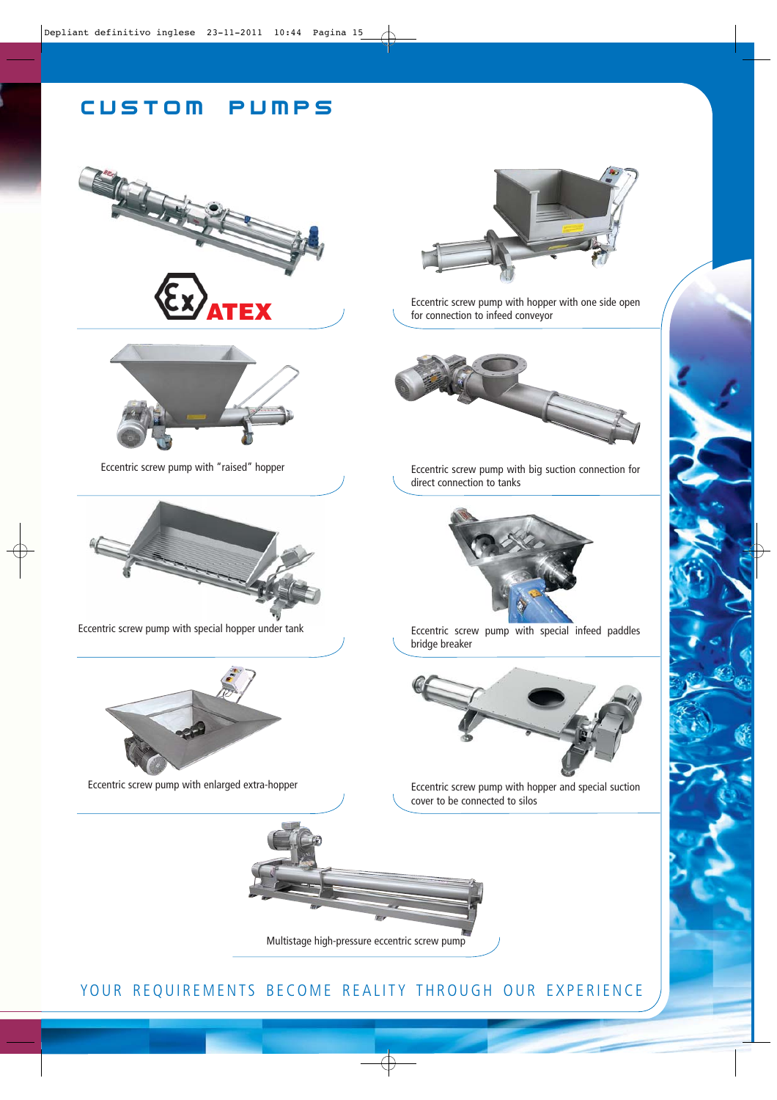### CUSTOM PUMPS





Eccentric screw pump with "raised" hopper



Eccentric screw pump with special hopper under tank



Eccentric screw pump with enlarged extra-hopper



Eccentric screw pump with hopper with one side open for connection to infeed conveyor



Eccentric screw pump with big suction connection for direct connection to tanks



Eccentric screw pump with special infeed paddles bridge breaker



Eccentric screw pump with hopper and special suction cover to be connected to silos



YOUR REQUIREMENTS BECOME REALITY THROUGH OUR EXPERIENCE